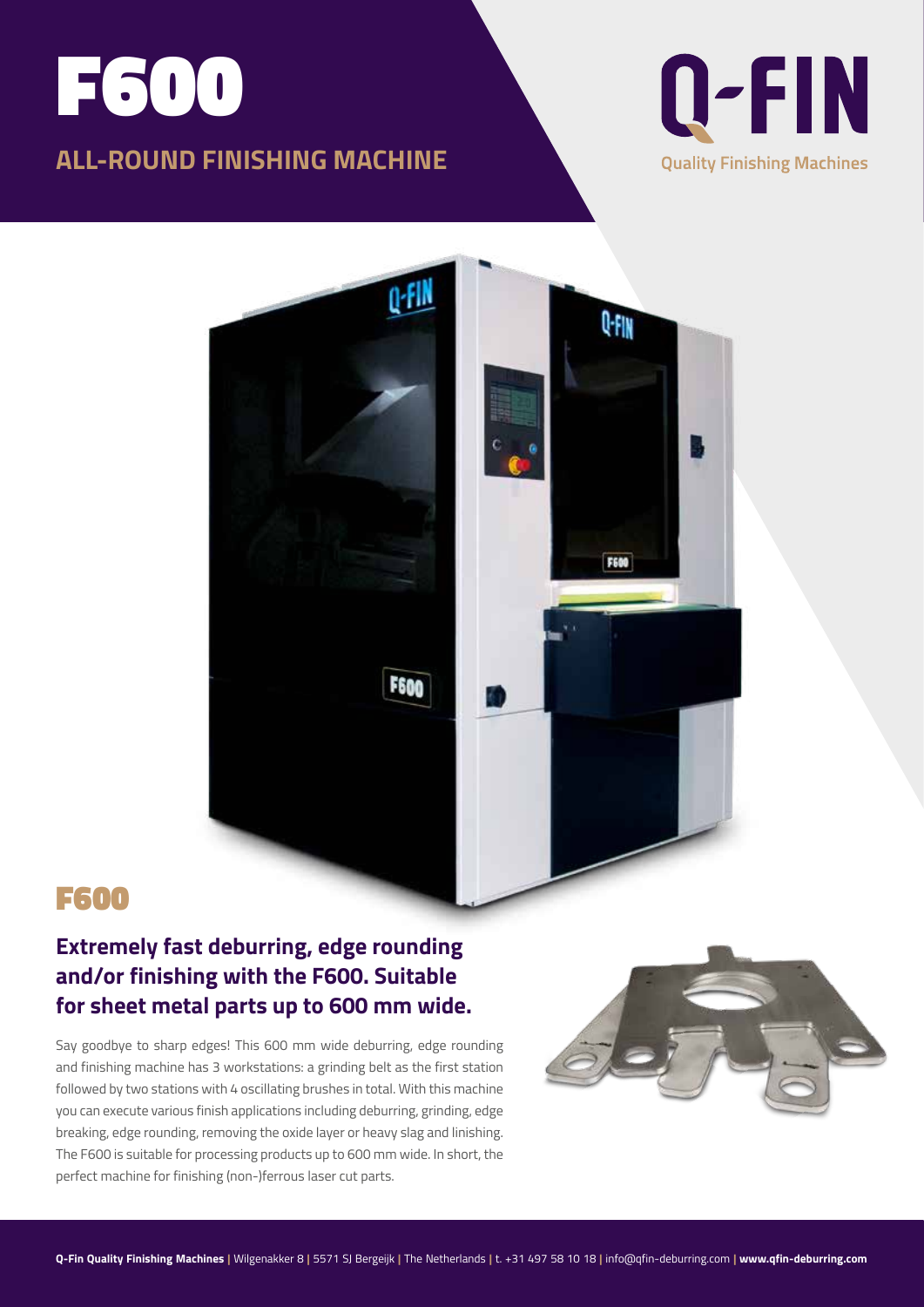# F600 **ALL-ROUND FINISHING MACHINE**





## F600

#### **Extremely fast deburring, edge rounding and/or finishing with the F600. Suitable for sheet metal parts up to 600 mm wide.**

Say goodbye to sharp edges! This 600 mm wide deburring, edge rounding and finishing machine has 3 workstations: a grinding belt as the first station followed by two stations with 4 oscillating brushes in total. With this machine you can execute various finish applications including deburring, grinding, edge breaking, edge rounding, removing the oxide layer or heavy slag and linishing. The F600 is suitable for processing products up to 600 mm wide. In short, the perfect machine for finishing (non-)ferrous laser cut parts.